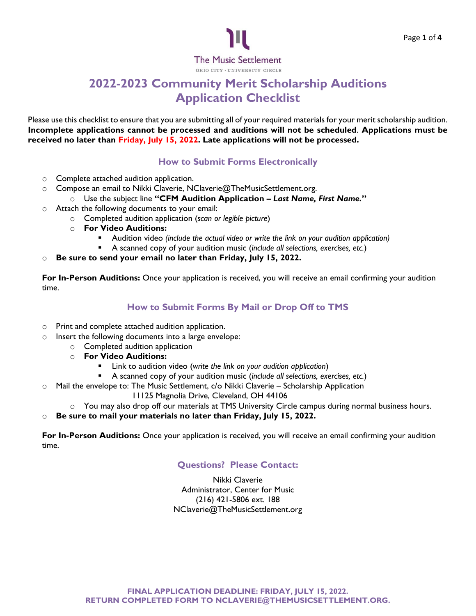

# **2022-2023 Community Merit Scholarship Auditions Application Checklist**

Please use this checklist to ensure that you are submitting all of your required materials for your merit scholarship audition. **Incomplete applications cannot be processed and auditions will not be scheduled**. **Applications must be received no later than Friday, July 15, 2022. Late applications will not be processed.**

# **How to Submit Forms Electronically**

- o Complete attached audition application.
- o Compose an email to Nikki Claverie, NClaverie@TheMusicSettlement.org.
	- o Use the subject line **"CFM Audition Application –** *Last Name, First Name.***"**
- o Attach the following documents to your email:
	- o Completed audition application (*scan or legible picture*)
	- o **For Video Auditions:**
		- Audition video *(include the actual video or write the link on your audition application)*
		- A scanned copy of your audition music (*include all selections, exercises, etc.*)
- Be sure to send your email no later than Friday, July 15, 2022.

**For In-Person Auditions:** Once your application is received, you will receive an email confirming your audition time.

# **How to Submit Forms By Mail or Drop Off to TMS**

- o Print and complete attached audition application.
- o Insert the following documents into a large envelope:
	- o Completed audition application
	- o **For Video Auditions:**
		- Link to audition video (write the link on your audition application)
		- A scanned copy of your audition music (*include all selections, exercises, etc.*)
- o Mail the envelope to: The Music Settlement, c/o Nikki Claverie Scholarship Application
	- 11125 Magnolia Drive, Cleveland, OH 44106
	- o You may also drop off our materials at TMS University Circle campus during normal business hours.
- o **Be sure to mail your materials no later than Friday, July 15, 2022.**

**For In-Person Auditions:** Once your application is received, you will receive an email confirming your audition time.

## **Questions? Please Contact:**

Nikki Claverie Administrator, Center for Music (216) 421-5806 ext. 188 NClaverie@TheMusicSettlement.org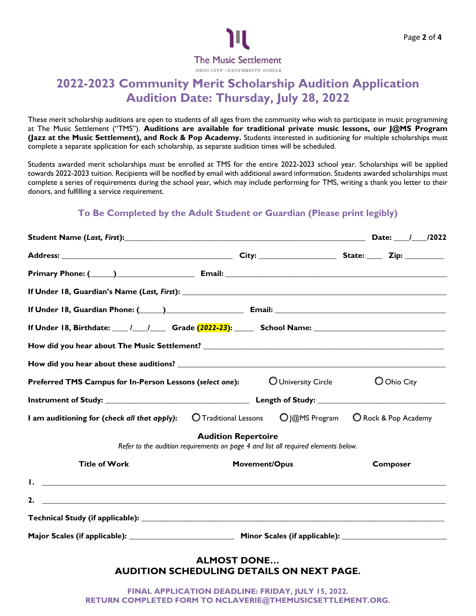

# **2022-2023 Community Merit Scholarship Audition Application Audition Date: Thursday, July 28, 2022**

These merit scholarship auditions are open to students of all ages from the community who wish to participate in music programming at The Music Settlement ("TMS"). **Auditions are available for traditional private music lessons, our J@MS Program (Jazz at the Music Settlement), and Rock & Pop Academy.** Students interested in auditioning for multiple scholarships must complete a separate application for each scholarship, as separate audition times will be scheduled.

Students awarded merit scholarships must be enrolled at TMS for the entire 2022-2023 school year. Scholarships will be applied towards 2022-2023 tuition. Recipients will be notified by email with additional award information. Students awarded scholarships must complete a series of requirements during the school year, which may include performing for TMS, writing a thank you letter to their donors, and fulfilling a service requirement.

# **To Be Completed by the Adult Student or Guardian (Please print legibly)**

| Student Name (Last, First): 12022                                                                                                                                                                                                    |                                                                                                                  |                 |
|--------------------------------------------------------------------------------------------------------------------------------------------------------------------------------------------------------------------------------------|------------------------------------------------------------------------------------------------------------------|-----------------|
|                                                                                                                                                                                                                                      |                                                                                                                  |                 |
|                                                                                                                                                                                                                                      |                                                                                                                  |                 |
|                                                                                                                                                                                                                                      |                                                                                                                  |                 |
| If Under 18, Guardian Phone: (Call 2018) [2018] [2018] [2018] [2018] [2018] [2019] [2018] [2019] [2019] [2019] [                                                                                                                     |                                                                                                                  |                 |
|                                                                                                                                                                                                                                      |                                                                                                                  |                 |
|                                                                                                                                                                                                                                      |                                                                                                                  |                 |
|                                                                                                                                                                                                                                      |                                                                                                                  |                 |
| <b>Preferred TMS Campus for In-Person Lessons (select one): <math>\bigcirc</math> University Circle</b>                                                                                                                              |                                                                                                                  | O Ohio City     |
|                                                                                                                                                                                                                                      |                                                                                                                  |                 |
| I am auditioning for (check all that apply):                                                                                                                                                                                         | O Traditional Lessons O J@MS Program O Rock & Pop Academy                                                        |                 |
|                                                                                                                                                                                                                                      | <b>Audition Repertoire</b><br>Refer to the audition requirements on page 4 and list all required elements below. |                 |
| <b>Title of Work</b>                                                                                                                                                                                                                 | Movement/Opus                                                                                                    | <b>Composer</b> |
| <u>I. Communication in the communication of the communication of the communication of the communication of the communication of the communication of the communication of the communication of the communication of the communic</u> |                                                                                                                  |                 |
| 2.                                                                                                                                                                                                                                   |                                                                                                                  |                 |
|                                                                                                                                                                                                                                      |                                                                                                                  |                 |
|                                                                                                                                                                                                                                      |                                                                                                                  |                 |
|                                                                                                                                                                                                                                      | <b>ALMOST DONE</b><br><b>AUDITION SCHEDULING DETAILS ON NEXT PAGE.</b>                                           |                 |
| RETURN COMPLETED FORM TO NCLAVERIE@THEMUSICSETTLEMENT.ORG.                                                                                                                                                                           | FINAL APPLICATION DEADLINE: FRIDAY, JULY 15, 2022.                                                               |                 |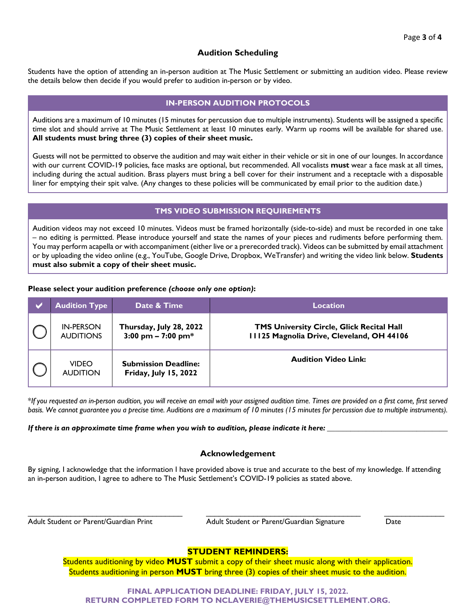## **Audition Scheduling**

Students have the option of attending an in-person audition at The Music Settlement or submitting an audition video. Please review the details below then decide if you would prefer to audition in-person or by video.

## **IN-PERSON AUDITION PROTOCOLS**

Auditions are a maximum of 10 minutes (15 minutes for percussion due to multiple instruments). Students will be assigned a specific time slot and should arrive at The Music Settlement at least 10 minutes early. Warm up rooms will be available for shared use. **All students must bring three (3) copies of their sheet music.**

Guests will not be permitted to observe the audition and may wait either in their vehicle or sit in one of our lounges. In accordance with our current COVID-19 policies, face masks are optional, but recommended. All vocalists **must** wear a face mask at all times, including during the actual audition. Brass players must bring a bell cover for their instrument and a receptacle with a disposable liner for emptying their spit valve. (Any changes to these policies will be communicated by email prior to the audition date.)

#### **TMS VIDEO SUBMISSION REQUIREMENTS**

Audition videos may not exceed 10 minutes. Videos must be framed horizontally (side-to-side) and must be recorded in one take – no editing is permitted. Please introduce yourself and state the names of your pieces and rudiments before performing them. You may perform acapella or with accompaniment (either live or a prerecorded track). Videos can be submitted by email attachment or by uploading the video online (e.g., YouTube, Google Drive, Dropbox, WeTransfer) and writing the video link below. **Students must also submit a copy of their sheet music.**

#### **Please select your audition preference** *(choose only one option)***:**

| <b>Audition Type</b>                 | Date & Time                                                 | <b>Location</b>                                                                               |
|--------------------------------------|-------------------------------------------------------------|-----------------------------------------------------------------------------------------------|
| <b>IN-PERSON</b><br><b>AUDITIONS</b> | Thursday, July 28, 2022<br>3:00 pm $- 7:00$ pm*             | <b>TMS University Circle, Glick Recital Hall</b><br>11125 Magnolia Drive, Cleveland, OH 44106 |
| <b>VIDEO</b><br><b>AUDITION</b>      | <b>Submission Deadline:</b><br><b>Friday, July 15, 2022</b> | <b>Audition Video Link:</b>                                                                   |

\**If you requested an in-person audition, you will receive an email with your assigned audition time. Times are provided on a first come, first served basis. We cannot guarantee you a precise time. Auditions are a maximum of 10 minutes (15 minutes for percussion due to multiple instruments).*

*If there is an approximate time frame when you wish to audition, please indicate it here:* 

### **Acknowledgement**

By signing, I acknowledge that the information I have provided above is true and accurate to the best of my knowledge. If attending an in-person audition, I agree to adhere to The Music Settlement's COVID-19 policies as stated above.

 $\frac{1}{2}$  ,  $\frac{1}{2}$  ,  $\frac{1}{2}$  ,  $\frac{1}{2}$  ,  $\frac{1}{2}$  ,  $\frac{1}{2}$  ,  $\frac{1}{2}$  ,  $\frac{1}{2}$  ,  $\frac{1}{2}$  ,  $\frac{1}{2}$  ,  $\frac{1}{2}$  ,  $\frac{1}{2}$  ,  $\frac{1}{2}$  ,  $\frac{1}{2}$  ,  $\frac{1}{2}$  ,  $\frac{1}{2}$  ,  $\frac{1}{2}$  ,  $\frac{1}{2}$  ,  $\frac{1$ 

Adult Student or Parent/Guardian Print Adult Student or Parent/Guardian Signature Date

### **STUDENT REMINDERS:**

Students auditioning by video **MUST** submit a copy of their sheet music along with their application. Students auditioning in person **MUST** bring three (3) copies of their sheet music to the audition.

**FINAL APPLICATION DEADLINE: FRIDAY, JULY 15, 2022. RETURN COMPLETED FORM TO NCLAVERIE@THEMUSICSETTLEMENT.ORG.**